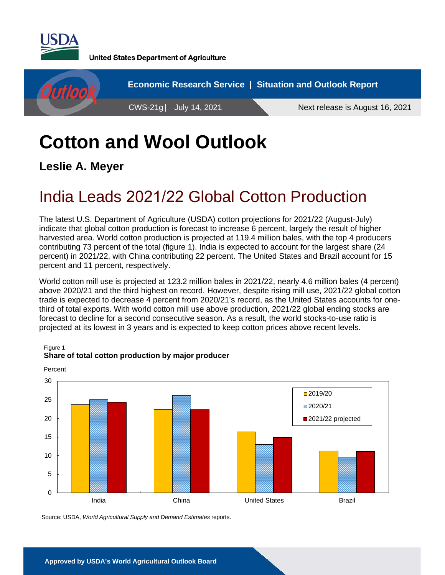

**United States Department of Agriculture** 



# **Cotton and Wool Outlook**

**Leslie A. Meyer** 

Figure 1

## India Leads 2021/22 Global Cotton Production

The latest U.S. Department of Agriculture (USDA) cotton projections for 2021/22 (August-July) indicate that global cotton production is forecast to increase 6 percent, largely the result of higher harvested area. World cotton production is projected at 119.4 million bales, with the top 4 producers contributing 73 percent of the total (figure 1). India is expected to account for the largest share (24 percent) in 2021/22, with China contributing 22 percent. The United States and Brazil account for 15 percent and 11 percent, respectively.

World cotton mill use is projected at 123.2 million bales in 2021/22, nearly 4.6 million bales (4 percent) above 2020/21 and the third highest on record. However, despite rising mill use, 2021/22 global cotton trade is expected to decrease 4 percent from 2020/21's record, as the United States accounts for onethird of total exports. With world cotton mill use above production, 2021/22 global ending stocks are forecast to decline for a second consecutive season. As a result, the world stocks-to-use ratio is projected at its lowest in 3 years and is expected to keep cotton prices above recent levels.



### **Share of total cotton production by major producer**

Source: USDA, *World Agricultural Supply and Demand Estimates* reports.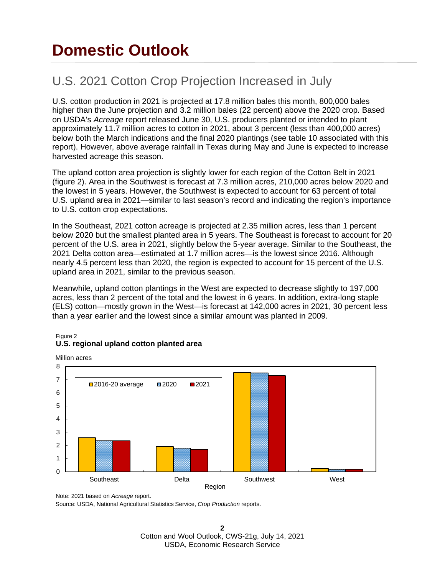## **Domestic Outlook**

### U.S. 2021 Cotton Crop Projection Increased in July

U.S. cotton production in 2021 is projected at 17.8 million bales this month, 800,000 bales higher than the June projection and 3.2 million bales (22 percent) above the 2020 crop. Based on USDA's *Acreage* report released June 30, U.S. producers planted or intended to plant approximately 11.7 million acres to cotton in 2021, about 3 percent (less than 400,000 acres) below both the March indications and the final 2020 plantings (see table 10 associated with this report). However, above average rainfall in Texas during May and June is expected to increase harvested acreage this season.

The upland cotton area projection is slightly lower for each region of the Cotton Belt in 2021 (figure 2). Area in the Southwest is forecast at 7.3 million acres, 210,000 acres below 2020 and the lowest in 5 years. However, the Southwest is expected to account for 63 percent of total U.S. upland area in 2021—similar to last season's record and indicating the region's importance to U.S. cotton crop expectations.

In the Southeast, 2021 cotton acreage is projected at 2.35 million acres, less than 1 percent below 2020 but the smallest planted area in 5 years. The Southeast is forecast to account for 20 percent of the U.S. area in 2021, slightly below the 5-year average. Similar to the Southeast, the 2021 Delta cotton area—estimated at 1.7 million acres—is the lowest since 2016. Although nearly 4.5 percent less than 2020, the region is expected to account for 15 percent of the U.S. upland area in 2021, similar to the previous season.

Meanwhile, upland cotton plantings in the West are expected to decrease slightly to 197,000 acres, less than 2 percent of the total and the lowest in 6 years. In addition, extra-long staple (ELS) cotton—mostly grown in the West—is forecast at 142,000 acres in 2021, 30 percent less than a year earlier and the lowest since a similar amount was planted in 2009.

#### Figure 2 **U.S. regional upland cotton planted area**

Million acres



Note: 2021 based on *Acreage* report.

Source: USDA, National Agricultural Statistics Service, *Crop Production* reports.

**2** Cotton and Wool Outlook, CWS-21g, July 14, 2021 USDA, Economic Research Service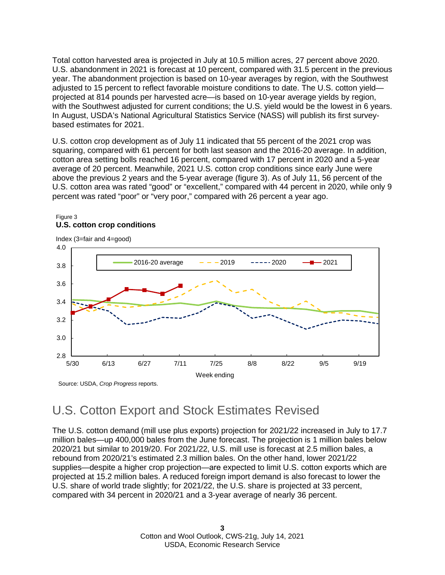Total cotton harvested area is projected in July at 10.5 million acres, 27 percent above 2020. U.S. abandonment in 2021 is forecast at 10 percent, compared with 31.5 percent in the previous year. The abandonment projection is based on 10-year averages by region, with the Southwest adjusted to 15 percent to reflect favorable moisture conditions to date. The U.S. cotton yield projected at 814 pounds per harvested acre—is based on 10-year average yields by region, with the Southwest adjusted for current conditions; the U.S. yield would be the lowest in 6 years. In August, USDA's National Agricultural Statistics Service (NASS) will publish its first surveybased estimates for 2021.

U.S. cotton crop development as of July 11 indicated that 55 percent of the 2021 crop was squaring, compared with 61 percent for both last season and the 2016-20 average. In addition, cotton area setting bolls reached 16 percent, compared with 17 percent in 2020 and a 5-year average of 20 percent. Meanwhile, 2021 U.S. cotton crop conditions since early June were above the previous 2 years and the 5-year average (figure 3). As of July 11, 56 percent of the U.S. cotton area was rated "good" or "excellent," compared with 44 percent in 2020, while only 9 percent was rated "poor" or "very poor," compared with 26 percent a year ago.



### Figure 3 **U.S. cotton crop conditions**

### U.S. Cotton Export and Stock Estimates Revised

The U.S. cotton demand (mill use plus exports) projection for 2021/22 increased in July to 17.7 million bales—up 400,000 bales from the June forecast. The projection is 1 million bales below 2020/21 but similar to 2019/20. For 2021/22, U.S. mill use is forecast at 2.5 million bales, a rebound from 2020/21's estimated 2.3 million bales. On the other hand, lower 2021/22 supplies—despite a higher crop projection—are expected to limit U.S. cotton exports which are projected at 15.2 million bales. A reduced foreign import demand is also forecast to lower the U.S. share of world trade slightly; for 2021/22, the U.S. share is projected at 33 percent, compared with 34 percent in 2020/21 and a 3-year average of nearly 36 percent.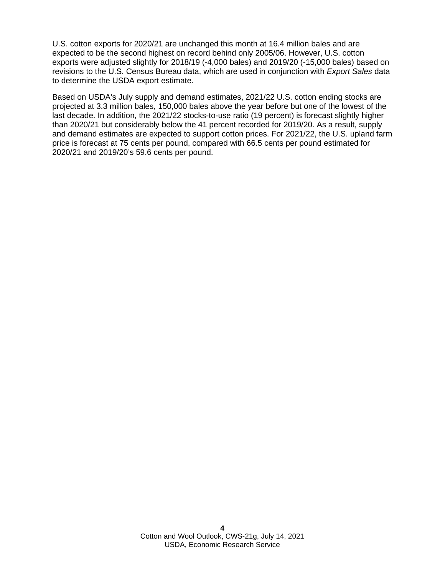U.S. cotton exports for 2020/21 are unchanged this month at 16.4 million bales and are expected to be the second highest on record behind only 2005/06. However, U.S. cotton exports were adjusted slightly for 2018/19 (-4,000 bales) and 2019/20 (-15,000 bales) based on revisions to the U.S. Census Bureau data, which are used in conjunction with *Export Sales* data to determine the USDA export estimate.

Based on USDA's July supply and demand estimates, 2021/22 U.S. cotton ending stocks are projected at 3.3 million bales, 150,000 bales above the year before but one of the lowest of the last decade. In addition, the 2021/22 stocks-to-use ratio (19 percent) is forecast slightly higher than 2020/21 but considerably below the 41 percent recorded for 2019/20. As a result, supply and demand estimates are expected to support cotton prices. For 2021/22, the U.S. upland farm price is forecast at 75 cents per pound, compared with 66.5 cents per pound estimated for 2020/21 and 2019/20's 59.6 cents per pound.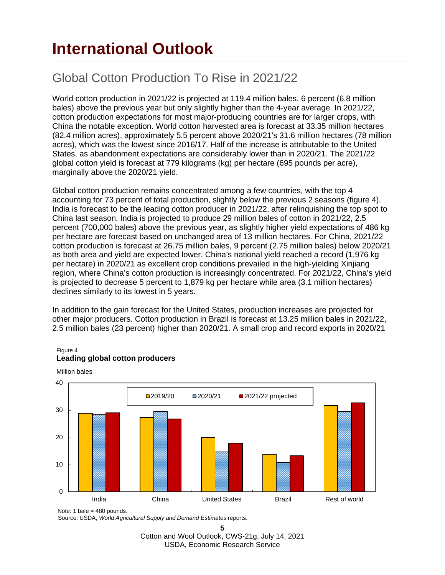## **International Outlook**

## Global Cotton Production To Rise in 2021/22

World cotton production in 2021/22 is projected at 119.4 million bales, 6 percent (6.8 million bales) above the previous year but only slightly higher than the 4-year average. In 2021/22, cotton production expectations for most major-producing countries are for larger crops, with China the notable exception. World cotton harvested area is forecast at 33.35 million hectares (82.4 million acres), approximately 5.5 percent above 2020/21's 31.6 million hectares (78 million acres), which was the lowest since 2016/17. Half of the increase is attributable to the United States, as abandonment expectations are considerably lower than in 2020/21. The 2021/22 global cotton yield is forecast at 779 kilograms (kg) per hectare (695 pounds per acre), marginally above the 2020/21 yield.

Global cotton production remains concentrated among a few countries, with the top 4 accounting for 73 percent of total production, slightly below the previous 2 seasons (figure 4). India is forecast to be the leading cotton producer in 2021/22, after relinquishing the top spot to China last season. India is projected to produce 29 million bales of cotton in 2021/22, 2.5 percent (700,000 bales) above the previous year, as slightly higher yield expectations of 486 kg per hectare are forecast based on unchanged area of 13 million hectares. For China, 2021/22 cotton production is forecast at 26.75 million bales, 9 percent (2.75 million bales) below 2020/21 as both area and yield are expected lower. China's national yield reached a record (1,976 kg per hectare) in 2020/21 as excellent crop conditions prevailed in the high-yielding Xinjiang region, where China's cotton production is increasingly concentrated. For 2021/22, China's yield is projected to decrease 5 percent to 1,879 kg per hectare while area (3.1 million hectares) declines similarly to its lowest in 5 years.

In addition to the gain forecast for the United States, production increases are projected for other major producers. Cotton production in Brazil is forecast at 13.25 million bales in 2021/22, 2.5 million bales (23 percent) higher than 2020/21. A small crop and record exports in 2020/21



#### Figure 4 **Leading global cotton producers**

Million bales

Source: USDA, *World Agricultural Supply and Demand Estimates* reports.

**5** Cotton and Wool Outlook, CWS-21g, July 14, 2021 USDA, Economic Research Service

Note: 1 bale = 480 pounds.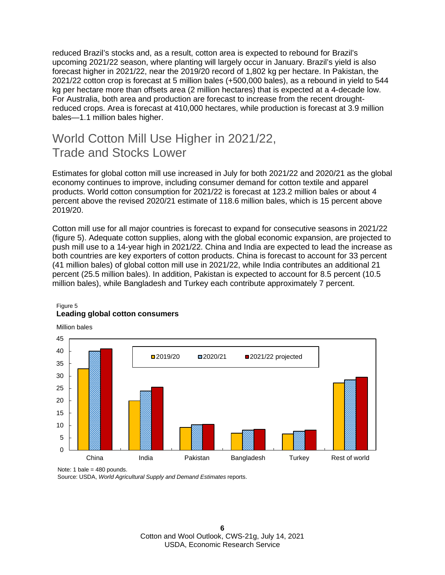reduced Brazil's stocks and, as a result, cotton area is expected to rebound for Brazil's upcoming 2021/22 season, where planting will largely occur in January. Brazil's yield is also forecast higher in 2021/22, near the 2019/20 record of 1,802 kg per hectare. In Pakistan, the 2021/22 cotton crop is forecast at 5 million bales (+500,000 bales), as a rebound in yield to 544 kg per hectare more than offsets area (2 million hectares) that is expected at a 4-decade low. For Australia, both area and production are forecast to increase from the recent droughtreduced crops. Area is forecast at 410,000 hectares, while production is forecast at 3.9 million bales—1.1 million bales higher.

### World Cotton Mill Use Higher in 2021/22, Trade and Stocks Lower

Estimates for global cotton mill use increased in July for both 2021/22 and 2020/21 as the global economy continues to improve, including consumer demand for cotton textile and apparel products. World cotton consumption for 2021/22 is forecast at 123.2 million bales or about 4 percent above the revised 2020/21 estimate of 118.6 million bales, which is 15 percent above 2019/20.

Cotton mill use for all major countries is forecast to expand for consecutive seasons in 2021/22 (figure 5). Adequate cotton supplies, along with the global economic expansion, are projected to push mill use to a 14-year high in 2021/22. China and India are expected to lead the increase as both countries are key exporters of cotton products. China is forecast to account for 33 percent (41 million bales) of global cotton mill use in 2021/22, while India contributes an additional 21 percent (25.5 million bales). In addition, Pakistan is expected to account for 8.5 percent (10.5 million bales), while Bangladesh and Turkey each contribute approximately 7 percent.



### Figure 5 **Leading global cotton consumers**

Note: 1 bale =  $480$  pounds.

Source: USDA, *World Agricultural Supply and Demand Estimates* reports.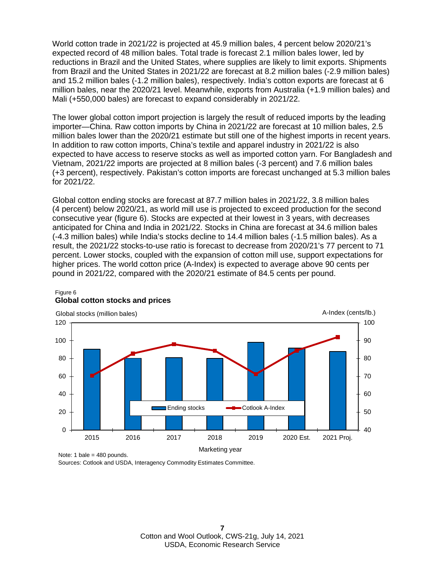World cotton trade in 2021/22 is projected at 45.9 million bales, 4 percent below 2020/21's expected record of 48 million bales. Total trade is forecast 2.1 million bales lower, led by reductions in Brazil and the United States, where supplies are likely to limit exports. Shipments from Brazil and the United States in 2021/22 are forecast at 8.2 million bales (-2.9 million bales) and 15.2 million bales (-1.2 million bales), respectively. India's cotton exports are forecast at 6 million bales, near the 2020/21 level. Meanwhile, exports from Australia (+1.9 million bales) and Mali (+550,000 bales) are forecast to expand considerably in 2021/22.

The lower global cotton import projection is largely the result of reduced imports by the leading importer—China. Raw cotton imports by China in 2021/22 are forecast at 10 million bales, 2.5 million bales lower than the 2020/21 estimate but still one of the highest imports in recent years. In addition to raw cotton imports, China's textile and apparel industry in 2021/22 is also expected to have access to reserve stocks as well as imported cotton yarn. For Bangladesh and Vietnam, 2021/22 imports are projected at 8 million bales (-3 percent) and 7.6 million bales (+3 percent), respectively. Pakistan's cotton imports are forecast unchanged at 5.3 million bales for 2021/22.

Global cotton ending stocks are forecast at 87.7 million bales in 2021/22, 3.8 million bales (4 percent) below 2020/21, as world mill use is projected to exceed production for the second consecutive year (figure 6). Stocks are expected at their lowest in 3 years, with decreases anticipated for China and India in 2021/22. Stocks in China are forecast at 34.6 million bales (-4.3 million bales) while India's stocks decline to 14.4 million bales (-1.5 million bales). As a result, the 2021/22 stocks-to-use ratio is forecast to decrease from 2020/21's 77 percent to 71 percent. Lower stocks, coupled with the expansion of cotton mill use, support expectations for higher prices. The world cotton price (A-Index) is expected to average above 90 cents per pound in 2021/22, compared with the 2020/21 estimate of 84.5 cents per pound.



#### Figure 6 **Global cotton stocks and prices**

Sources: Cotlook and USDA, Interagency Commodity Estimates Committee.